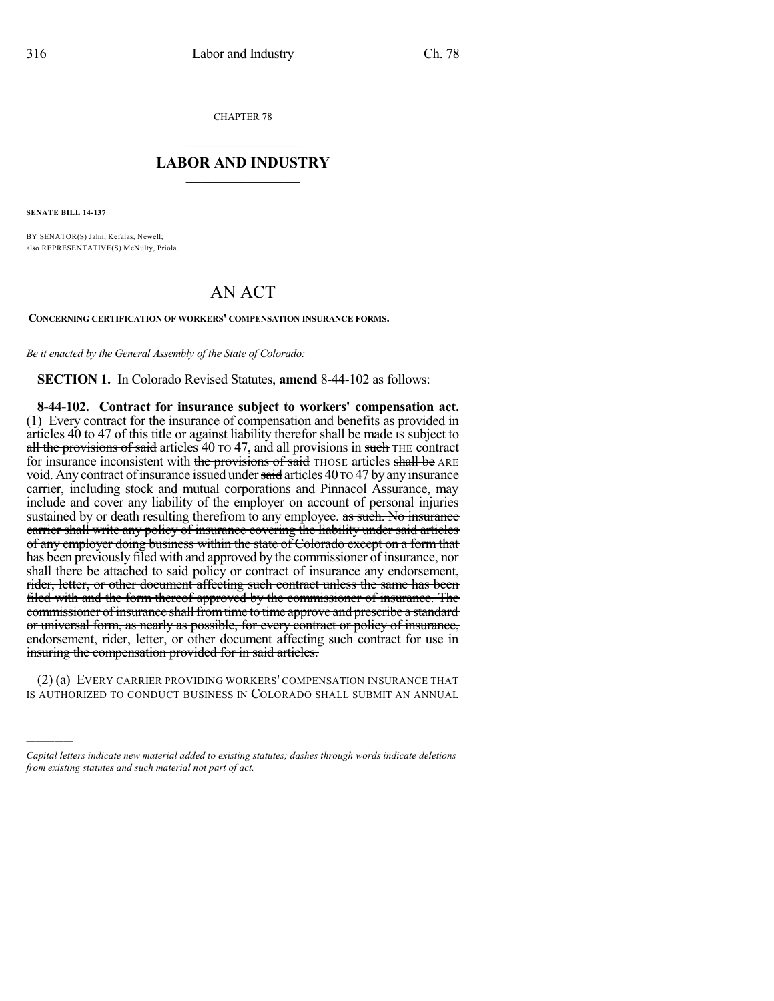CHAPTER 78

## $\mathcal{L}_\text{max}$  . The set of the set of the set of the set of the set of the set of the set of the set of the set of the set of the set of the set of the set of the set of the set of the set of the set of the set of the set **LABOR AND INDUSTRY**  $\frac{1}{\sqrt{2}}$  ,  $\frac{1}{\sqrt{2}}$  ,  $\frac{1}{\sqrt{2}}$  ,  $\frac{1}{\sqrt{2}}$  ,  $\frac{1}{\sqrt{2}}$  ,  $\frac{1}{\sqrt{2}}$

**SENATE BILL 14-137**

)))))

BY SENATOR(S) Jahn, Kefalas, Newell; also REPRESENTATIVE(S) McNulty, Priola.

## AN ACT

**CONCERNING CERTIFICATION OF WORKERS' COMPENSATION INSURANCE FORMS.**

*Be it enacted by the General Assembly of the State of Colorado:*

**SECTION 1.** In Colorado Revised Statutes, **amend** 8-44-102 as follows:

**8-44-102. Contract for insurance subject to workers' compensation act.** (1) Every contract for the insurance of compensation and benefits as provided in articles  $40$  to  $47$  of this title or against liability therefor shall be made is subject to all the provisions of said articles 40 TO 47, and all provisions in such THE contract for insurance inconsistent with the provisions of said THOSE articles shall be ARE void. Any contract of insurance issued under said articles 40 TO 47 by any insurance carrier, including stock and mutual corporations and Pinnacol Assurance, may include and cover any liability of the employer on account of personal injuries sustained by or death resulting therefrom to any employee. as such. No insurance carrier shall write any policy of insurance covering the liability under said articles of any employer doing business within the state of Colorado except on a form that has been previously filed with and approved by the commissioner of insurance, nor shall there be attached to said policy or contract of insurance any endorsement, rider, letter, or other document affecting such contract unless the same has been filed with and the form thereof approved by the commissioner of insurance. The commissioner of insurance shall from time to time approve and prescribe a standard or universal form, as nearly as possible, for every contract or policy of insurance, endorsement, rider, letter, or other document affecting such contract for use in insuring the compensation provided for in said articles.

(2) (a) EVERY CARRIER PROVIDING WORKERS' COMPENSATION INSURANCE THAT IS AUTHORIZED TO CONDUCT BUSINESS IN COLORADO SHALL SUBMIT AN ANNUAL

*Capital letters indicate new material added to existing statutes; dashes through words indicate deletions from existing statutes and such material not part of act.*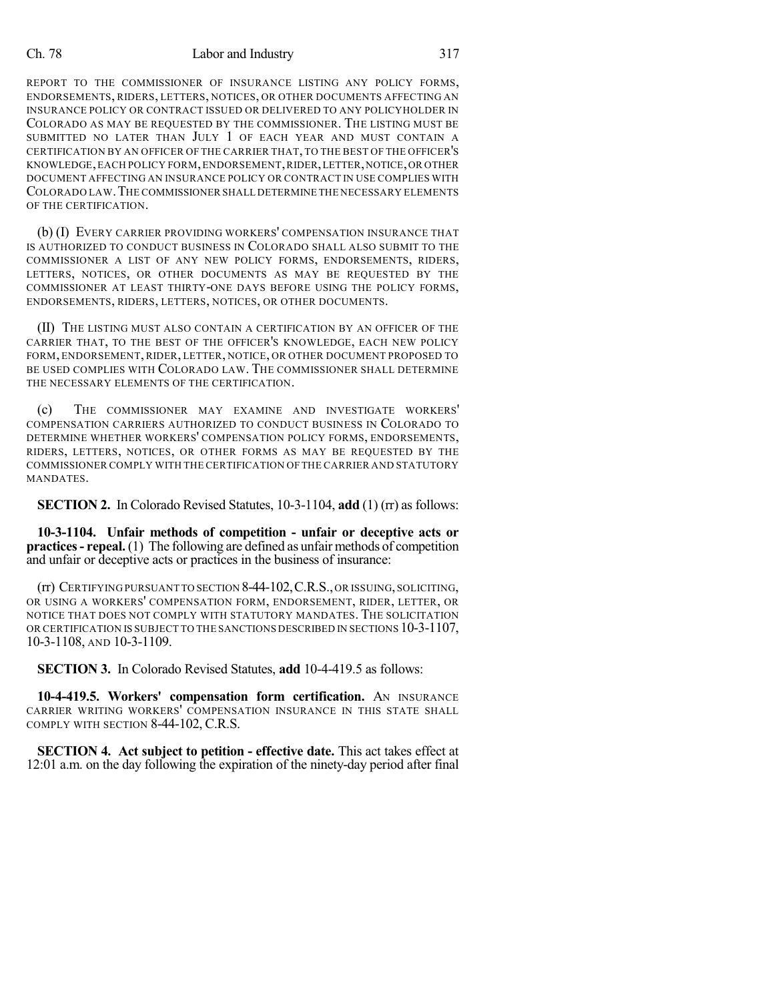## Ch. 78 Labor and Industry 317

REPORT TO THE COMMISSIONER OF INSURANCE LISTING ANY POLICY FORMS, ENDORSEMENTS, RIDERS, LETTERS, NOTICES, OR OTHER DOCUMENTS AFFECTING AN INSURANCE POLICY OR CONTRACT ISSUED OR DELIVERED TO ANY POLICYHOLDER IN COLORADO AS MAY BE REQUESTED BY THE COMMISSIONER. THE LISTING MUST BE SUBMITTED NO LATER THAN JULY 1 OF EACH YEAR AND MUST CONTAIN A CERTIFICATION BY AN OFFICER OF THE CARRIER THAT, TO THE BEST OF THE OFFICER'S KNOWLEDGE,EACH POLICY FORM,ENDORSEMENT,RIDER,LETTER,NOTICE,OR OTHER DOCUMENT AFFECTING AN INSURANCE POLICY OR CONTRACT IN USE COMPLIES WITH COLORADO LAW.THE COMMISSIONER SHALL DETERMINE THE NECESSARY ELEMENTS OF THE CERTIFICATION.

(b) (I) EVERY CARRIER PROVIDING WORKERS' COMPENSATION INSURANCE THAT IS AUTHORIZED TO CONDUCT BUSINESS IN COLORADO SHALL ALSO SUBMIT TO THE COMMISSIONER A LIST OF ANY NEW POLICY FORMS, ENDORSEMENTS, RIDERS, LETTERS, NOTICES, OR OTHER DOCUMENTS AS MAY BE REQUESTED BY THE COMMISSIONER AT LEAST THIRTY-ONE DAYS BEFORE USING THE POLICY FORMS, ENDORSEMENTS, RIDERS, LETTERS, NOTICES, OR OTHER DOCUMENTS.

(II) THE LISTING MUST ALSO CONTAIN A CERTIFICATION BY AN OFFICER OF THE CARRIER THAT, TO THE BEST OF THE OFFICER'S KNOWLEDGE, EACH NEW POLICY FORM, ENDORSEMENT, RIDER, LETTER, NOTICE, OR OTHER DOCUMENT PROPOSED TO BE USED COMPLIES WITH COLORADO LAW. THE COMMISSIONER SHALL DETERMINE THE NECESSARY ELEMENTS OF THE CERTIFICATION.

(c) THE COMMISSIONER MAY EXAMINE AND INVESTIGATE WORKERS' COMPENSATION CARRIERS AUTHORIZED TO CONDUCT BUSINESS IN COLORADO TO DETERMINE WHETHER WORKERS' COMPENSATION POLICY FORMS, ENDORSEMENTS, RIDERS, LETTERS, NOTICES, OR OTHER FORMS AS MAY BE REQUESTED BY THE COMMISSIONER COMPLY WITH THE CERTIFICATION OF THE CARRIER AND STATUTORY MANDATES.

**SECTION 2.** In Colorado Revised Statutes, 10-3-1104, **add** (1) (rr) as follows:

**10-3-1104. Unfair methods of competition - unfair or deceptive acts or practices- repeal.** (1) The following are defined as unfair methods of competition and unfair or deceptive acts or practices in the business of insurance:

(rr) CERTIFYING PURSUANT TO SECTION 8-44-102,C.R.S.,OR ISSUING,SOLICITING, OR USING A WORKERS' COMPENSATION FORM, ENDORSEMENT, RIDER, LETTER, OR NOTICE THAT DOES NOT COMPLY WITH STATUTORY MANDATES. THE SOLICITATION OR CERTIFICATION IS SUBJECT TO THE SANCTIONS DESCRIBED IN SECTIONS 10-3-1107, 10-3-1108, AND 10-3-1109.

**SECTION 3.** In Colorado Revised Statutes, **add** 10-4-419.5 as follows:

**10-4-419.5. Workers' compensation form certification.** AN INSURANCE CARRIER WRITING WORKERS' COMPENSATION INSURANCE IN THIS STATE SHALL COMPLY WITH SECTION 8-44-102, C.R.S.

**SECTION 4. Act subject to petition - effective date.** This act takes effect at 12:01 a.m. on the day following the expiration of the ninety-day period after final